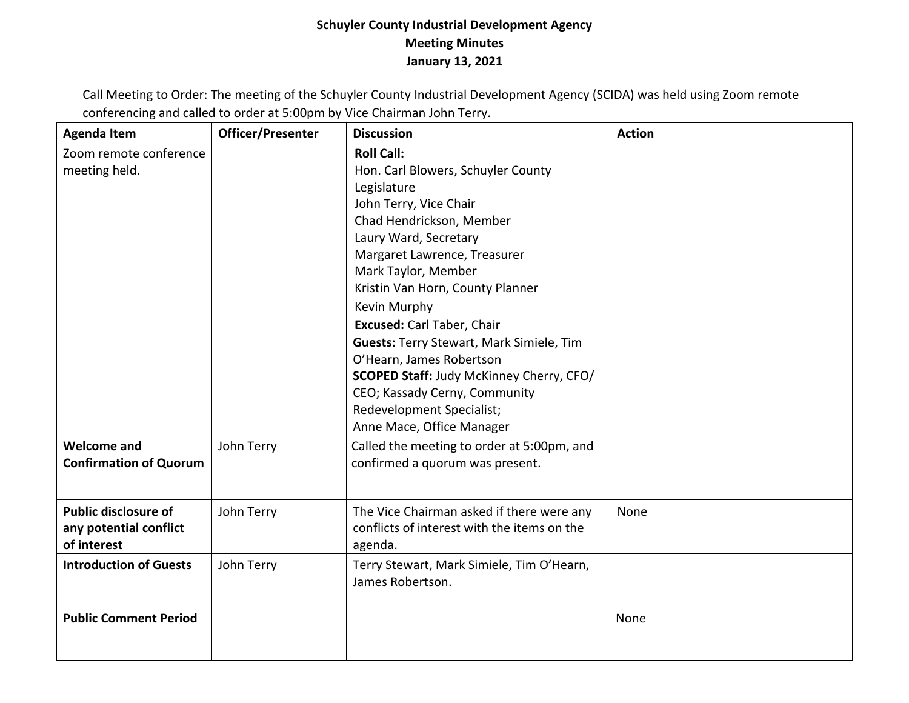## **Schuyler County Industrial Development Agency Meeting Minutes January 13, 2021**

Call Meeting to Order: The meeting of the Schuyler County Industrial Development Agency (SCIDA) was held using Zoom remote conferencing and called to order at 5:00pm by Vice Chairman John Terry.

| <b>Agenda Item</b>                                                   | Officer/Presenter | <b>Discussion</b>                                                                                                                                                                                                                                                                                                                                                                                                                                                                                                           | <b>Action</b> |
|----------------------------------------------------------------------|-------------------|-----------------------------------------------------------------------------------------------------------------------------------------------------------------------------------------------------------------------------------------------------------------------------------------------------------------------------------------------------------------------------------------------------------------------------------------------------------------------------------------------------------------------------|---------------|
| Zoom remote conference<br>meeting held.                              |                   | <b>Roll Call:</b><br>Hon. Carl Blowers, Schuyler County<br>Legislature<br>John Terry, Vice Chair<br>Chad Hendrickson, Member<br>Laury Ward, Secretary<br>Margaret Lawrence, Treasurer<br>Mark Taylor, Member<br>Kristin Van Horn, County Planner<br>Kevin Murphy<br>Excused: Carl Taber, Chair<br><b>Guests: Terry Stewart, Mark Simiele, Tim</b><br>O'Hearn, James Robertson<br><b>SCOPED Staff: Judy McKinney Cherry, CFO/</b><br>CEO; Kassady Cerny, Community<br>Redevelopment Specialist;<br>Anne Mace, Office Manager |               |
| <b>Welcome and</b><br><b>Confirmation of Quorum</b>                  | John Terry        | Called the meeting to order at 5:00pm, and<br>confirmed a quorum was present.                                                                                                                                                                                                                                                                                                                                                                                                                                               |               |
| <b>Public disclosure of</b><br>any potential conflict<br>of interest | John Terry        | The Vice Chairman asked if there were any<br>conflicts of interest with the items on the<br>agenda.                                                                                                                                                                                                                                                                                                                                                                                                                         | None          |
| <b>Introduction of Guests</b>                                        | John Terry        | Terry Stewart, Mark Simiele, Tim O'Hearn,<br>James Robertson.                                                                                                                                                                                                                                                                                                                                                                                                                                                               |               |
| <b>Public Comment Period</b>                                         |                   |                                                                                                                                                                                                                                                                                                                                                                                                                                                                                                                             | None          |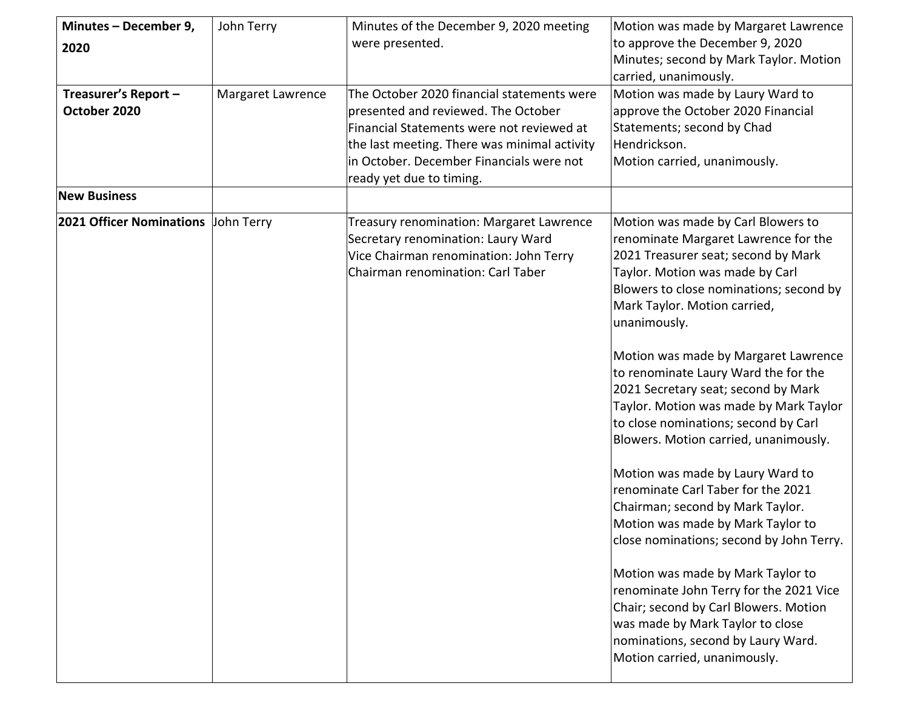| Minutes - December 9,<br>2020<br>Treasurer's Report -<br>October 2020 | John Terry<br>Margaret Lawrence | Minutes of the December 9, 2020 meeting<br>were presented.<br>The October 2020 financial statements were<br>presented and reviewed. The October<br>Financial Statements were not reviewed at<br>the last meeting. There was minimal activity<br>in October. December Financials were not<br>ready yet due to timing. | Motion was made by Margaret Lawrence<br>to approve the December 9, 2020<br>Minutes; second by Mark Taylor. Motion<br>carried, unanimously.<br>Motion was made by Laury Ward to<br>approve the October 2020 Financial<br>Statements; second by Chad<br>Hendrickson.<br>Motion carried, unanimously.                                                                                                                                                                                                                                                                                                                                                                                                                                                                                                                                                                                                                                  |
|-----------------------------------------------------------------------|---------------------------------|----------------------------------------------------------------------------------------------------------------------------------------------------------------------------------------------------------------------------------------------------------------------------------------------------------------------|-------------------------------------------------------------------------------------------------------------------------------------------------------------------------------------------------------------------------------------------------------------------------------------------------------------------------------------------------------------------------------------------------------------------------------------------------------------------------------------------------------------------------------------------------------------------------------------------------------------------------------------------------------------------------------------------------------------------------------------------------------------------------------------------------------------------------------------------------------------------------------------------------------------------------------------|
| <b>New Business</b>                                                   |                                 |                                                                                                                                                                                                                                                                                                                      |                                                                                                                                                                                                                                                                                                                                                                                                                                                                                                                                                                                                                                                                                                                                                                                                                                                                                                                                     |
| 2021 Officer Nominations John Terry                                   |                                 | <b>Treasury renomination: Margaret Lawrence</b><br>Secretary renomination: Laury Ward<br>Vice Chairman renomination: John Terry<br>Chairman renomination: Carl Taber                                                                                                                                                 | Motion was made by Carl Blowers to<br>renominate Margaret Lawrence for the<br>2021 Treasurer seat; second by Mark<br>Taylor. Motion was made by Carl<br>Blowers to close nominations; second by<br>Mark Taylor. Motion carried,<br>unanimously.<br>Motion was made by Margaret Lawrence<br>to renominate Laury Ward the for the<br>2021 Secretary seat; second by Mark<br>Taylor. Motion was made by Mark Taylor<br>to close nominations; second by Carl<br>Blowers. Motion carried, unanimously.<br>Motion was made by Laury Ward to<br>renominate Carl Taber for the 2021<br>Chairman; second by Mark Taylor.<br>Motion was made by Mark Taylor to<br>close nominations; second by John Terry.<br>Motion was made by Mark Taylor to<br>renominate John Terry for the 2021 Vice<br>Chair; second by Carl Blowers. Motion<br>was made by Mark Taylor to close<br>nominations, second by Laury Ward.<br>Motion carried, unanimously. |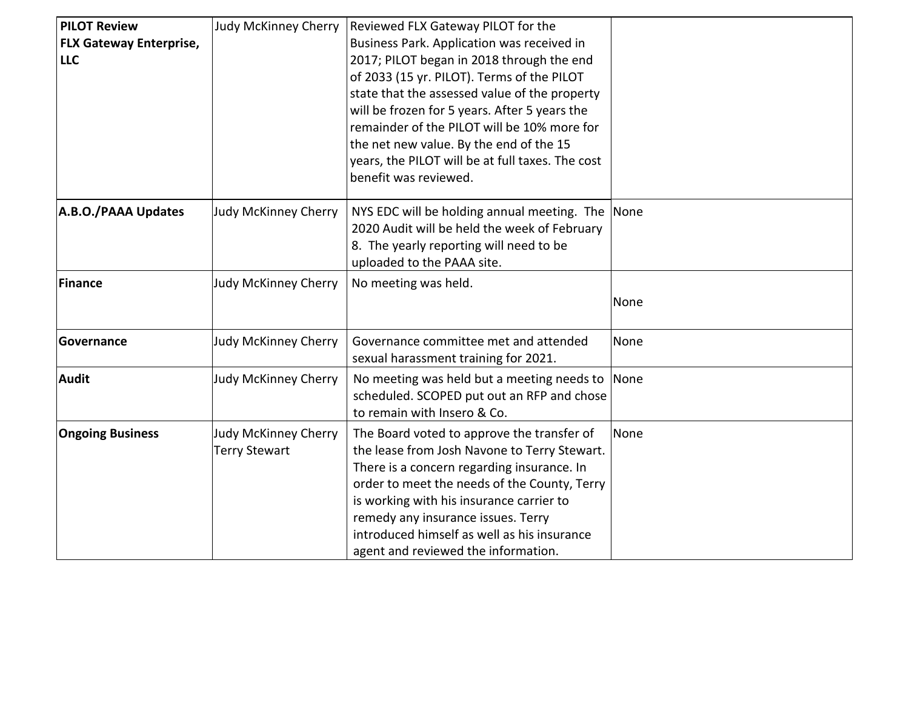| <b>PILOT Review</b><br><b>FLX Gateway Enterprise,</b><br><b>LLC</b> | <b>Judy McKinney Cherry</b>                  | Reviewed FLX Gateway PILOT for the<br>Business Park. Application was received in<br>2017; PILOT began in 2018 through the end<br>of 2033 (15 yr. PILOT). Terms of the PILOT<br>state that the assessed value of the property<br>will be frozen for 5 years. After 5 years the<br>remainder of the PILOT will be 10% more for<br>the net new value. By the end of the 15<br>years, the PILOT will be at full taxes. The cost<br>benefit was reviewed. |      |
|---------------------------------------------------------------------|----------------------------------------------|------------------------------------------------------------------------------------------------------------------------------------------------------------------------------------------------------------------------------------------------------------------------------------------------------------------------------------------------------------------------------------------------------------------------------------------------------|------|
| A.B.O./PAAA Updates                                                 | Judy McKinney Cherry                         | NYS EDC will be holding annual meeting. The None<br>2020 Audit will be held the week of February<br>8. The yearly reporting will need to be<br>uploaded to the PAAA site.                                                                                                                                                                                                                                                                            |      |
| Finance                                                             | Judy McKinney Cherry                         | No meeting was held.                                                                                                                                                                                                                                                                                                                                                                                                                                 | None |
| Governance                                                          | Judy McKinney Cherry                         | Governance committee met and attended<br>sexual harassment training for 2021.                                                                                                                                                                                                                                                                                                                                                                        | None |
| <b>Audit</b>                                                        | Judy McKinney Cherry                         | No meeting was held but a meeting needs to None<br>scheduled. SCOPED put out an RFP and chose<br>to remain with Insero & Co.                                                                                                                                                                                                                                                                                                                         |      |
| <b>Ongoing Business</b>                                             | Judy McKinney Cherry<br><b>Terry Stewart</b> | The Board voted to approve the transfer of<br>the lease from Josh Navone to Terry Stewart.<br>There is a concern regarding insurance. In<br>order to meet the needs of the County, Terry<br>is working with his insurance carrier to<br>remedy any insurance issues. Terry<br>introduced himself as well as his insurance<br>agent and reviewed the information.                                                                                     | None |